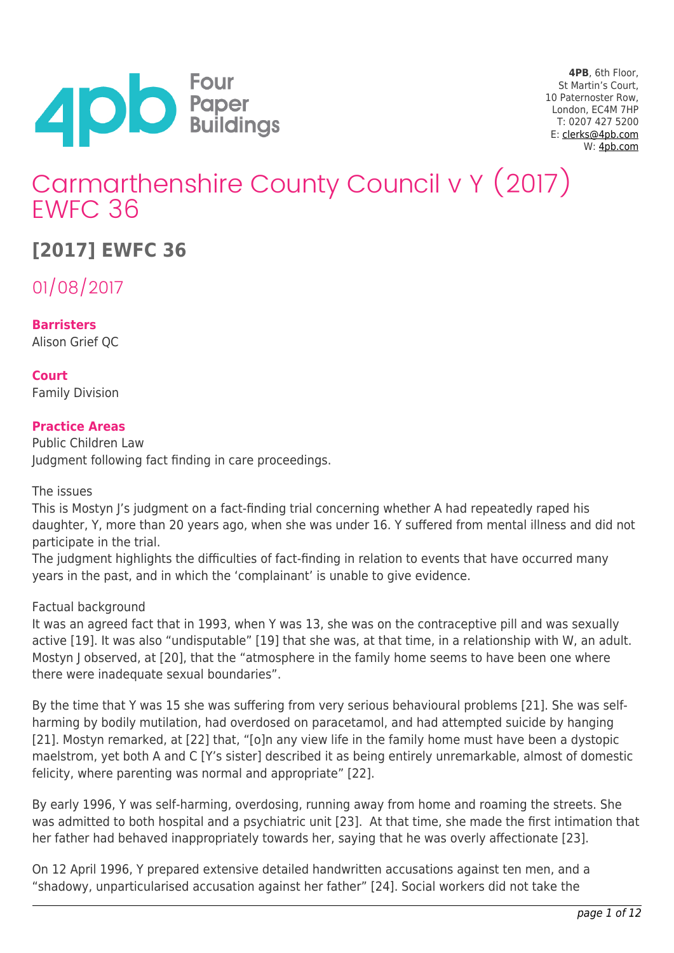

**4PB**, 6th Floor, St Martin's Court, 10 Paternoster Row, London, EC4M 7HP T: 0207 427 5200 E: [clerks@4pb.com](mailto:clerks@4pb.com) W: [4pb.com](http://4pb.com)

# Carmarthenshire County Council v Y (2017) EWFC 36

## **[2017] EWFC 36**

01/08/2017

**Barristers** Alison Grief QC

**Court** Family Division

## **Practice Areas**

Public Children Law Judgment following fact finding in care proceedings.

The issues

This is Mostyn J's judgment on a fact-finding trial concerning whether A had repeatedly raped his daughter, Y, more than 20 years ago, when she was under 16. Y suffered from mental illness and did not participate in the trial.

The judgment highlights the difficulties of fact-finding in relation to events that have occurred many years in the past, and in which the 'complainant' is unable to give evidence.

### Factual background

It was an agreed fact that in 1993, when Y was 13, she was on the contraceptive pill and was sexually active [19]. It was also "undisputable" [19] that she was, at that time, in a relationship with W, an adult. Mostyn J observed, at [20], that the "atmosphere in the family home seems to have been one where there were inadequate sexual boundaries".

By the time that Y was 15 she was suffering from very serious behavioural problems [21]. She was selfharming by bodily mutilation, had overdosed on paracetamol, and had attempted suicide by hanging [21]. Mostyn remarked, at [22] that, "[o]n any view life in the family home must have been a dystopic maelstrom, yet both A and C [Y's sister] described it as being entirely unremarkable, almost of domestic felicity, where parenting was normal and appropriate" [22].

By early 1996, Y was self-harming, overdosing, running away from home and roaming the streets. She was admitted to both hospital and a psychiatric unit [23]. At that time, she made the first intimation that her father had behaved inappropriately towards her, saying that he was overly affectionate [23].

On 12 April 1996, Y prepared extensive detailed handwritten accusations against ten men, and a "shadowy, unparticularised accusation against her father" [24]. Social workers did not take the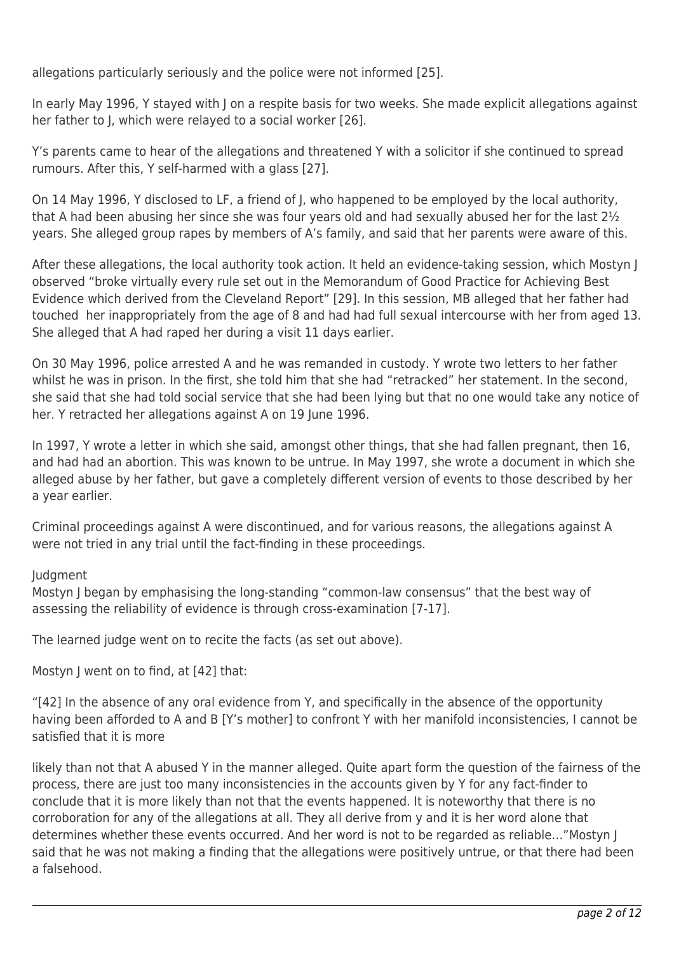allegations particularly seriously and the police were not informed [25].

In early May 1996, Y stayed with J on a respite basis for two weeks. She made explicit allegations against her father to J, which were relayed to a social worker [26].

Y's parents came to hear of the allegations and threatened Y with a solicitor if she continued to spread rumours. After this, Y self-harmed with a glass [27].

On 14 May 1996, Y disclosed to LF, a friend of J, who happened to be employed by the local authority, that A had been abusing her since she was four years old and had sexually abused her for the last 2½ years. She alleged group rapes by members of A's family, and said that her parents were aware of this.

After these allegations, the local authority took action. It held an evidence-taking session, which Mostyn J observed "broke virtually every rule set out in the Memorandum of Good Practice for Achieving Best Evidence which derived from the Cleveland Report" [29]. In this session, MB alleged that her father had touched her inappropriately from the age of 8 and had had full sexual intercourse with her from aged 13. She alleged that A had raped her during a visit 11 days earlier.

On 30 May 1996, police arrested A and he was remanded in custody. Y wrote two letters to her father whilst he was in prison. In the first, she told him that she had "retracked" her statement. In the second, she said that she had told social service that she had been lying but that no one would take any notice of her. Y retracted her allegations against A on 19 June 1996.

In 1997, Y wrote a letter in which she said, amongst other things, that she had fallen pregnant, then 16, and had had an abortion. This was known to be untrue. In May 1997, she wrote a document in which she alleged abuse by her father, but gave a completely different version of events to those described by her a year earlier.

Criminal proceedings against A were discontinued, and for various reasons, the allegations against A were not tried in any trial until the fact-finding in these proceedings.

## Judgment

Mostyn J began by emphasising the long-standing "common-law consensus" that the best way of assessing the reliability of evidence is through cross-examination [7-17].

The learned judge went on to recite the facts (as set out above).

Mostyn J went on to find, at [42] that:

"[42] In the absence of any oral evidence from Y, and specifically in the absence of the opportunity having been afforded to A and B [Y's mother] to confront Y with her manifold inconsistencies, I cannot be satisfied that it is more

likely than not that A abused Y in the manner alleged. Quite apart form the question of the fairness of the process, there are just too many inconsistencies in the accounts given by Y for any fact-finder to conclude that it is more likely than not that the events happened. It is noteworthy that there is no corroboration for any of the allegations at all. They all derive from y and it is her word alone that determines whether these events occurred. And her word is not to be regarded as reliable…"Mostyn J said that he was not making a finding that the allegations were positively untrue, or that there had been a falsehood.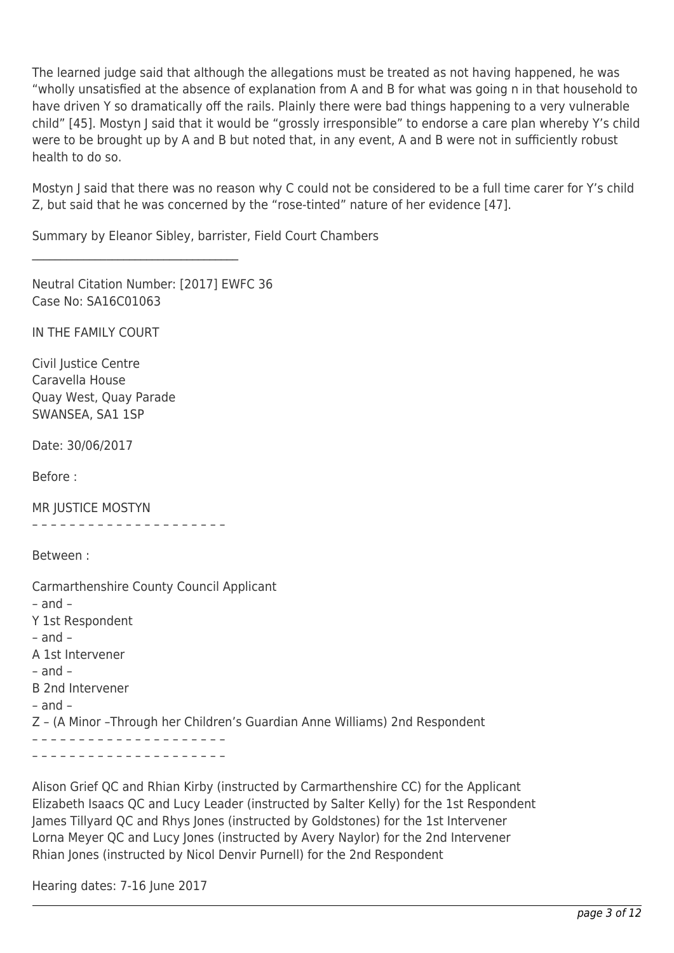The learned judge said that although the allegations must be treated as not having happened, he was "wholly unsatisfied at the absence of explanation from A and B for what was going n in that household to have driven Y so dramatically off the rails. Plainly there were bad things happening to a very vulnerable child" [45]. Mostyn J said that it would be "grossly irresponsible" to endorse a care plan whereby Y's child were to be brought up by A and B but noted that, in any event, A and B were not in sufficiently robust health to do so.

Mostyn J said that there was no reason why C could not be considered to be a full time carer for Y's child Z, but said that he was concerned by the "rose-tinted" nature of her evidence [47].

Summary by Eleanor Sibley, barrister, Field Court Chambers

Neutral Citation Number: [2017] EWFC 36 Case No: SA16C01063

\_\_\_\_\_\_\_\_\_\_\_\_\_\_\_\_\_\_\_\_\_\_\_\_\_\_\_\_\_\_\_\_\_\_\_\_

IN THE FAMILY COURT

Civil Justice Centre Caravella House Quay West, Quay Parade SWANSEA, SA1 1SP

Date: 30/06/2017

Before :

MR JUSTICE MOSTYN

– – – – – – – – – – – – – – – – – – – – –

Between :

Carmarthenshire County Council Applicant – and – Y 1st Respondent – and – A 1st Intervener – and – B 2nd Intervener – and – Z – (A Minor –Through her Children's Guardian Anne Williams) 2nd Respondent – – – – – – – – – – – – – – – – – – – – – – – – – – – – – – – – – – – – – – – – – –

Alison Grief QC and Rhian Kirby (instructed by Carmarthenshire CC) for the Applicant Elizabeth Isaacs QC and Lucy Leader (instructed by Salter Kelly) for the 1st Respondent James Tillyard QC and Rhys Jones (instructed by Goldstones) for the 1st Intervener Lorna Meyer QC and Lucy Jones (instructed by Avery Naylor) for the 2nd Intervener Rhian Jones (instructed by Nicol Denvir Purnell) for the 2nd Respondent

Hearing dates: 7-16 June 2017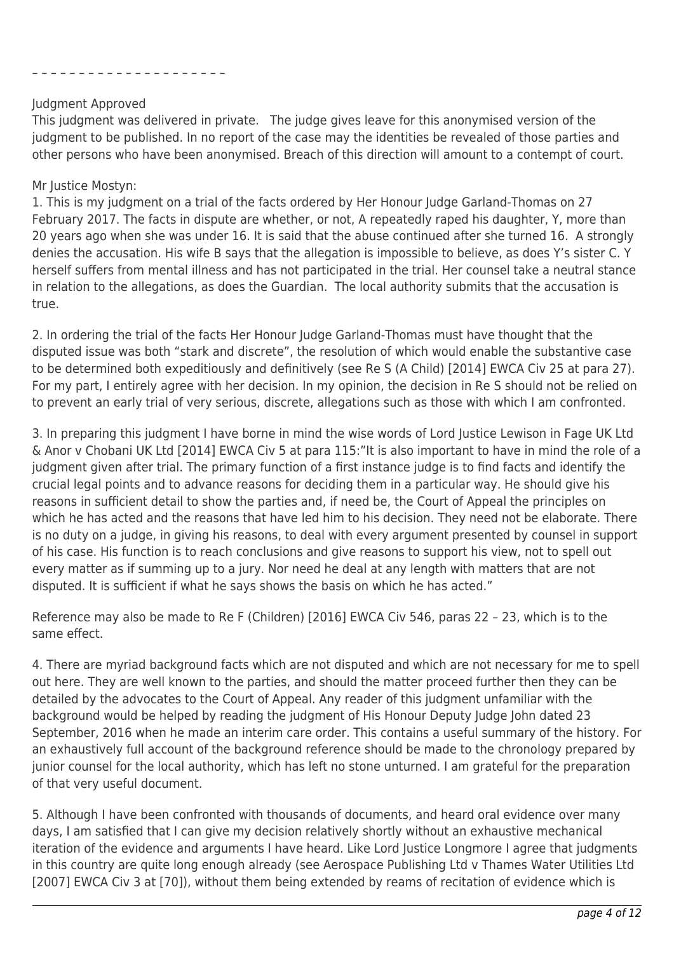#### – – – – – – – – – – – – – – – – – – – – –

#### Judgment Approved

This judgment was delivered in private. The judge gives leave for this anonymised version of the judgment to be published. In no report of the case may the identities be revealed of those parties and other persons who have been anonymised. Breach of this direction will amount to a contempt of court.

## Mr Justice Mostyn:

1. This is my judgment on a trial of the facts ordered by Her Honour Judge Garland-Thomas on 27 February 2017. The facts in dispute are whether, or not, A repeatedly raped his daughter, Y, more than 20 years ago when she was under 16. It is said that the abuse continued after she turned 16. A strongly denies the accusation. His wife B says that the allegation is impossible to believe, as does Y's sister C. Y herself suffers from mental illness and has not participated in the trial. Her counsel take a neutral stance in relation to the allegations, as does the Guardian. The local authority submits that the accusation is true.

2. In ordering the trial of the facts Her Honour Judge Garland-Thomas must have thought that the disputed issue was both "stark and discrete", the resolution of which would enable the substantive case to be determined both expeditiously and definitively (see Re S (A Child) [2014] EWCA Civ 25 at para 27). For my part, I entirely agree with her decision. In my opinion, the decision in Re S should not be relied on to prevent an early trial of very serious, discrete, allegations such as those with which I am confronted.

3. In preparing this judgment I have borne in mind the wise words of Lord Justice Lewison in Fage UK Ltd & Anor v Chobani UK Ltd [2014] EWCA Civ 5 at para 115:"It is also important to have in mind the role of a judgment given after trial. The primary function of a first instance judge is to find facts and identify the crucial legal points and to advance reasons for deciding them in a particular way. He should give his reasons in sufficient detail to show the parties and, if need be, the Court of Appeal the principles on which he has acted and the reasons that have led him to his decision. They need not be elaborate. There is no duty on a judge, in giving his reasons, to deal with every argument presented by counsel in support of his case. His function is to reach conclusions and give reasons to support his view, not to spell out every matter as if summing up to a jury. Nor need he deal at any length with matters that are not disputed. It is sufficient if what he says shows the basis on which he has acted."

Reference may also be made to Re F (Children) [2016] EWCA Civ 546, paras 22 – 23, which is to the same effect.

4. There are myriad background facts which are not disputed and which are not necessary for me to spell out here. They are well known to the parties, and should the matter proceed further then they can be detailed by the advocates to the Court of Appeal. Any reader of this judgment unfamiliar with the background would be helped by reading the judgment of His Honour Deputy Judge John dated 23 September, 2016 when he made an interim care order. This contains a useful summary of the history. For an exhaustively full account of the background reference should be made to the chronology prepared by junior counsel for the local authority, which has left no stone unturned. I am grateful for the preparation of that very useful document.

5. Although I have been confronted with thousands of documents, and heard oral evidence over many days, I am satisfied that I can give my decision relatively shortly without an exhaustive mechanical iteration of the evidence and arguments I have heard. Like Lord Justice Longmore I agree that judgments in this country are quite long enough already (see Aerospace Publishing Ltd v Thames Water Utilities Ltd [2007] EWCA Civ 3 at [70]), without them being extended by reams of recitation of evidence which is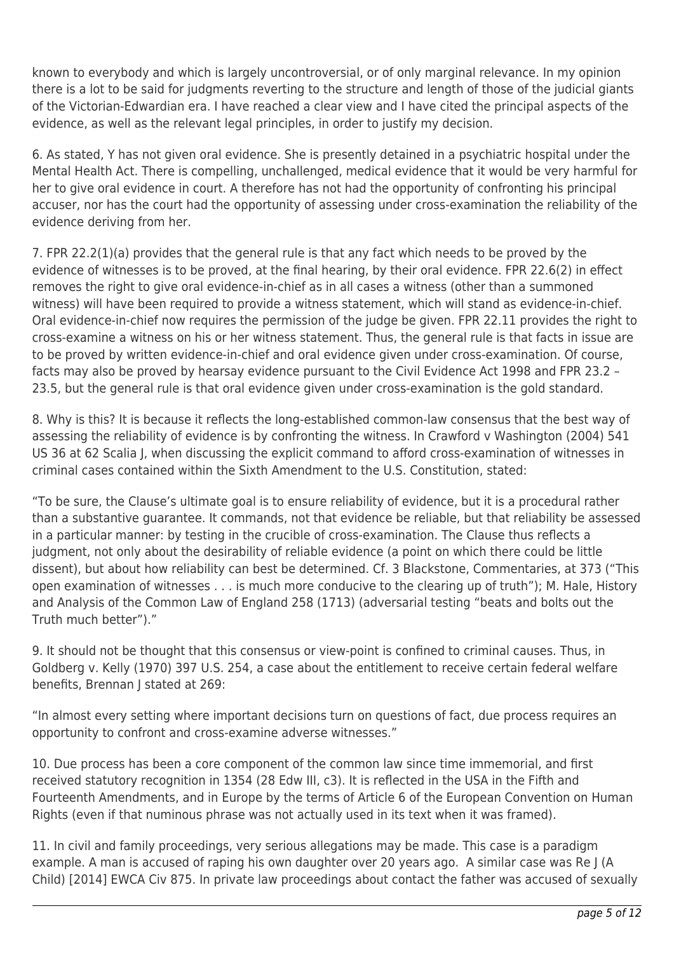known to everybody and which is largely uncontroversial, or of only marginal relevance. In my opinion there is a lot to be said for judgments reverting to the structure and length of those of the judicial giants of the Victorian-Edwardian era. I have reached a clear view and I have cited the principal aspects of the evidence, as well as the relevant legal principles, in order to justify my decision.

6. As stated, Y has not given oral evidence. She is presently detained in a psychiatric hospital under the Mental Health Act. There is compelling, unchallenged, medical evidence that it would be very harmful for her to give oral evidence in court. A therefore has not had the opportunity of confronting his principal accuser, nor has the court had the opportunity of assessing under cross-examination the reliability of the evidence deriving from her.

7. FPR 22.2(1)(a) provides that the general rule is that any fact which needs to be proved by the evidence of witnesses is to be proved, at the final hearing, by their oral evidence. FPR 22.6(2) in effect removes the right to give oral evidence-in-chief as in all cases a witness (other than a summoned witness) will have been required to provide a witness statement, which will stand as evidence-in-chief. Oral evidence-in-chief now requires the permission of the judge be given. FPR 22.11 provides the right to cross-examine a witness on his or her witness statement. Thus, the general rule is that facts in issue are to be proved by written evidence-in-chief and oral evidence given under cross-examination. Of course, facts may also be proved by hearsay evidence pursuant to the Civil Evidence Act 1998 and FPR 23.2 – 23.5, but the general rule is that oral evidence given under cross-examination is the gold standard.

8. Why is this? It is because it reflects the long-established common-law consensus that the best way of assessing the reliability of evidence is by confronting the witness. In Crawford v Washington (2004) 541 US 36 at 62 Scalia J, when discussing the explicit command to afford cross-examination of witnesses in criminal cases contained within the Sixth Amendment to the U.S. Constitution, stated:

"To be sure, the Clause's ultimate goal is to ensure reliability of evidence, but it is a procedural rather than a substantive guarantee. It commands, not that evidence be reliable, but that reliability be assessed in a particular manner: by testing in the crucible of cross-examination. The Clause thus reflects a judgment, not only about the desirability of reliable evidence (a point on which there could be little dissent), but about how reliability can best be determined. Cf. 3 Blackstone, Commentaries, at 373 ("This open examination of witnesses . . . is much more conducive to the clearing up of truth"); M. Hale, History and Analysis of the Common Law of England 258 (1713) (adversarial testing "beats and bolts out the Truth much better")."

9. It should not be thought that this consensus or view-point is confined to criminal causes. Thus, in Goldberg v. Kelly (1970) 397 U.S. 254, a case about the entitlement to receive certain federal welfare benefits, Brennan J stated at 269:

"In almost every setting where important decisions turn on questions of fact, due process requires an opportunity to confront and cross-examine adverse witnesses."

10. Due process has been a core component of the common law since time immemorial, and first received statutory recognition in 1354 (28 Edw III, c3). It is reflected in the USA in the Fifth and Fourteenth Amendments, and in Europe by the terms of Article 6 of the European Convention on Human Rights (even if that numinous phrase was not actually used in its text when it was framed).

11. In civil and family proceedings, very serious allegations may be made. This case is a paradigm example. A man is accused of raping his own daughter over 20 years ago. A similar case was Re J (A Child) [2014] EWCA Civ 875. In private law proceedings about contact the father was accused of sexually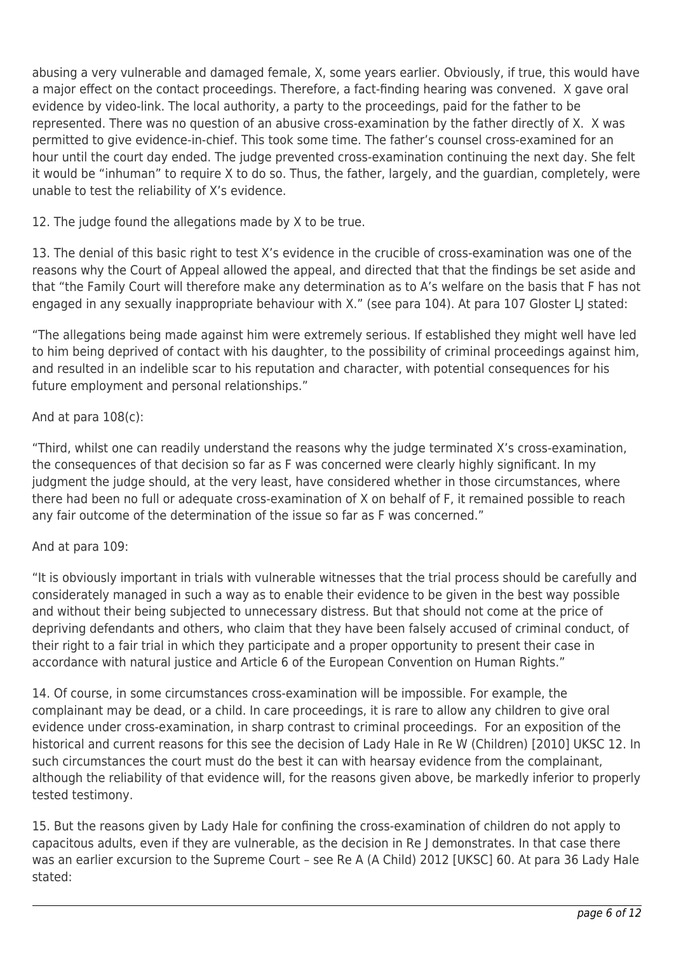abusing a very vulnerable and damaged female, X, some years earlier. Obviously, if true, this would have a major effect on the contact proceedings. Therefore, a fact-finding hearing was convened. X gave oral evidence by video-link. The local authority, a party to the proceedings, paid for the father to be represented. There was no question of an abusive cross-examination by the father directly of X. X was permitted to give evidence-in-chief. This took some time. The father's counsel cross-examined for an hour until the court day ended. The judge prevented cross-examination continuing the next day. She felt it would be "inhuman" to require X to do so. Thus, the father, largely, and the guardian, completely, were unable to test the reliability of X's evidence.

12. The judge found the allegations made by X to be true.

13. The denial of this basic right to test X's evidence in the crucible of cross-examination was one of the reasons why the Court of Appeal allowed the appeal, and directed that that the findings be set aside and that "the Family Court will therefore make any determination as to A's welfare on the basis that F has not engaged in any sexually inappropriate behaviour with X." (see para 104). At para 107 Gloster LJ stated:

"The allegations being made against him were extremely serious. If established they might well have led to him being deprived of contact with his daughter, to the possibility of criminal proceedings against him, and resulted in an indelible scar to his reputation and character, with potential consequences for his future employment and personal relationships."

## And at para 108(c):

"Third, whilst one can readily understand the reasons why the judge terminated X's cross-examination, the consequences of that decision so far as F was concerned were clearly highly significant. In my judgment the judge should, at the very least, have considered whether in those circumstances, where there had been no full or adequate cross-examination of X on behalf of F, it remained possible to reach any fair outcome of the determination of the issue so far as F was concerned."

## And at para 109:

"It is obviously important in trials with vulnerable witnesses that the trial process should be carefully and considerately managed in such a way as to enable their evidence to be given in the best way possible and without their being subjected to unnecessary distress. But that should not come at the price of depriving defendants and others, who claim that they have been falsely accused of criminal conduct, of their right to a fair trial in which they participate and a proper opportunity to present their case in accordance with natural justice and Article 6 of the European Convention on Human Rights."

14. Of course, in some circumstances cross-examination will be impossible. For example, the complainant may be dead, or a child. In care proceedings, it is rare to allow any children to give oral evidence under cross-examination, in sharp contrast to criminal proceedings. For an exposition of the historical and current reasons for this see the decision of Lady Hale in Re W (Children) [2010] UKSC 12. In such circumstances the court must do the best it can with hearsay evidence from the complainant, although the reliability of that evidence will, for the reasons given above, be markedly inferior to properly tested testimony.

15. But the reasons given by Lady Hale for confining the cross-examination of children do not apply to capacitous adults, even if they are vulnerable, as the decision in Re J demonstrates. In that case there was an earlier excursion to the Supreme Court – see Re A (A Child) 2012 [UKSC] 60. At para 36 Lady Hale stated: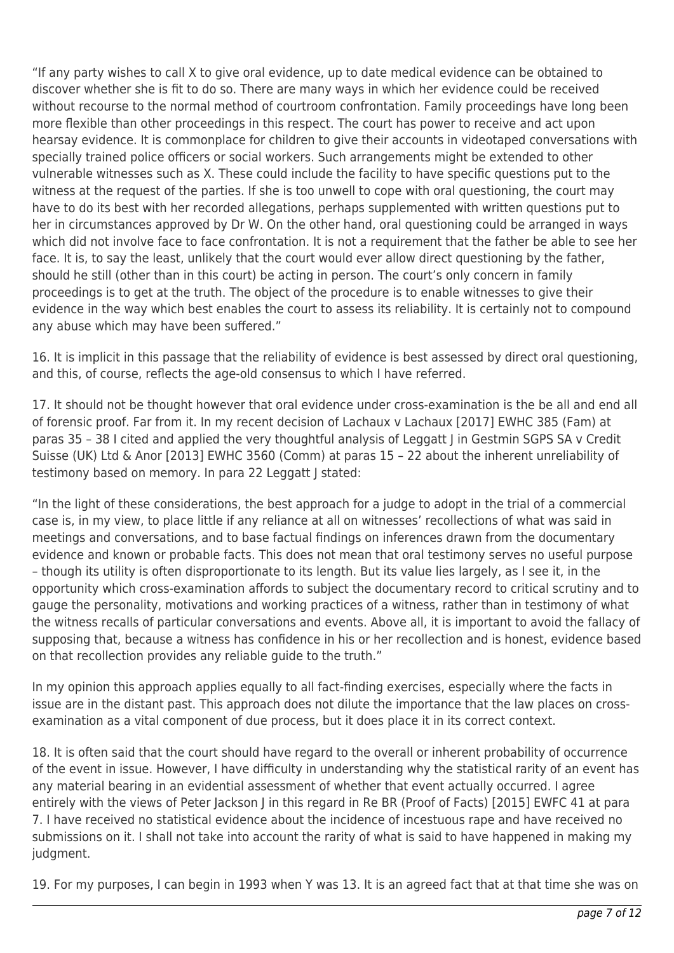"If any party wishes to call X to give oral evidence, up to date medical evidence can be obtained to discover whether she is fit to do so. There are many ways in which her evidence could be received without recourse to the normal method of courtroom confrontation. Family proceedings have long been more flexible than other proceedings in this respect. The court has power to receive and act upon hearsay evidence. It is commonplace for children to give their accounts in videotaped conversations with specially trained police officers or social workers. Such arrangements might be extended to other vulnerable witnesses such as X. These could include the facility to have specific questions put to the witness at the request of the parties. If she is too unwell to cope with oral questioning, the court may have to do its best with her recorded allegations, perhaps supplemented with written questions put to her in circumstances approved by Dr W. On the other hand, oral questioning could be arranged in ways which did not involve face to face confrontation. It is not a requirement that the father be able to see her face. It is, to say the least, unlikely that the court would ever allow direct questioning by the father, should he still (other than in this court) be acting in person. The court's only concern in family proceedings is to get at the truth. The object of the procedure is to enable witnesses to give their evidence in the way which best enables the court to assess its reliability. It is certainly not to compound any abuse which may have been suffered."

16. It is implicit in this passage that the reliability of evidence is best assessed by direct oral questioning, and this, of course, reflects the age-old consensus to which I have referred.

17. It should not be thought however that oral evidence under cross-examination is the be all and end all of forensic proof. Far from it. In my recent decision of Lachaux v Lachaux [2017] EWHC 385 (Fam) at paras 35 – 38 I cited and applied the very thoughtful analysis of Leggatt J in Gestmin SGPS SA v Credit Suisse (UK) Ltd & Anor [2013] EWHC 3560 (Comm) at paras 15 – 22 about the inherent unreliability of testimony based on memory. In para 22 Leggatt J stated:

"In the light of these considerations, the best approach for a judge to adopt in the trial of a commercial case is, in my view, to place little if any reliance at all on witnesses' recollections of what was said in meetings and conversations, and to base factual findings on inferences drawn from the documentary evidence and known or probable facts. This does not mean that oral testimony serves no useful purpose – though its utility is often disproportionate to its length. But its value lies largely, as I see it, in the opportunity which cross-examination affords to subject the documentary record to critical scrutiny and to gauge the personality, motivations and working practices of a witness, rather than in testimony of what the witness recalls of particular conversations and events. Above all, it is important to avoid the fallacy of supposing that, because a witness has confidence in his or her recollection and is honest, evidence based on that recollection provides any reliable guide to the truth."

In my opinion this approach applies equally to all fact-finding exercises, especially where the facts in issue are in the distant past. This approach does not dilute the importance that the law places on crossexamination as a vital component of due process, but it does place it in its correct context.

18. It is often said that the court should have regard to the overall or inherent probability of occurrence of the event in issue. However, I have difficulty in understanding why the statistical rarity of an event has any material bearing in an evidential assessment of whether that event actually occurred. I agree entirely with the views of Peter Jackson I in this regard in Re BR (Proof of Facts) [2015] EWFC 41 at para 7. I have received no statistical evidence about the incidence of incestuous rape and have received no submissions on it. I shall not take into account the rarity of what is said to have happened in making my judgment.

19. For my purposes, I can begin in 1993 when Y was 13. It is an agreed fact that at that time she was on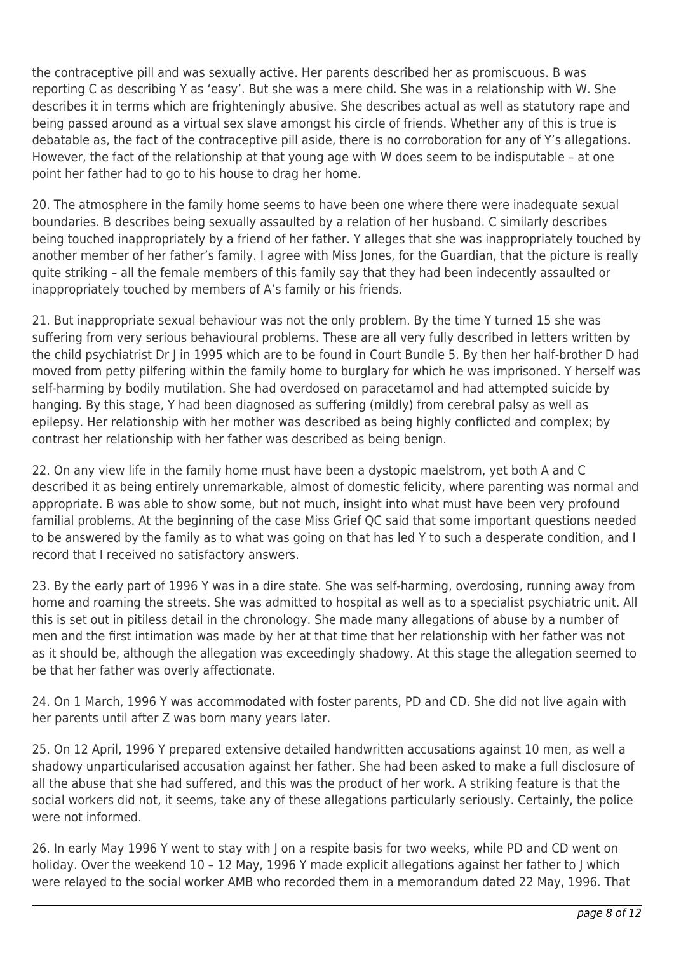the contraceptive pill and was sexually active. Her parents described her as promiscuous. B was reporting C as describing Y as 'easy'. But she was a mere child. She was in a relationship with W. She describes it in terms which are frighteningly abusive. She describes actual as well as statutory rape and being passed around as a virtual sex slave amongst his circle of friends. Whether any of this is true is debatable as, the fact of the contraceptive pill aside, there is no corroboration for any of Y's allegations. However, the fact of the relationship at that young age with W does seem to be indisputable – at one point her father had to go to his house to drag her home.

20. The atmosphere in the family home seems to have been one where there were inadequate sexual boundaries. B describes being sexually assaulted by a relation of her husband. C similarly describes being touched inappropriately by a friend of her father. Y alleges that she was inappropriately touched by another member of her father's family. I agree with Miss Jones, for the Guardian, that the picture is really quite striking – all the female members of this family say that they had been indecently assaulted or inappropriately touched by members of A's family or his friends.

21. But inappropriate sexual behaviour was not the only problem. By the time Y turned 15 she was suffering from very serious behavioural problems. These are all very fully described in letters written by the child psychiatrist Dr J in 1995 which are to be found in Court Bundle 5. By then her half-brother D had moved from petty pilfering within the family home to burglary for which he was imprisoned. Y herself was self-harming by bodily mutilation. She had overdosed on paracetamol and had attempted suicide by hanging. By this stage, Y had been diagnosed as suffering (mildly) from cerebral palsy as well as epilepsy. Her relationship with her mother was described as being highly conflicted and complex; by contrast her relationship with her father was described as being benign.

22. On any view life in the family home must have been a dystopic maelstrom, yet both A and C described it as being entirely unremarkable, almost of domestic felicity, where parenting was normal and appropriate. B was able to show some, but not much, insight into what must have been very profound familial problems. At the beginning of the case Miss Grief QC said that some important questions needed to be answered by the family as to what was going on that has led Y to such a desperate condition, and I record that I received no satisfactory answers.

23. By the early part of 1996 Y was in a dire state. She was self-harming, overdosing, running away from home and roaming the streets. She was admitted to hospital as well as to a specialist psychiatric unit. All this is set out in pitiless detail in the chronology. She made many allegations of abuse by a number of men and the first intimation was made by her at that time that her relationship with her father was not as it should be, although the allegation was exceedingly shadowy. At this stage the allegation seemed to be that her father was overly affectionate.

24. On 1 March, 1996 Y was accommodated with foster parents, PD and CD. She did not live again with her parents until after Z was born many years later.

25. On 12 April, 1996 Y prepared extensive detailed handwritten accusations against 10 men, as well a shadowy unparticularised accusation against her father. She had been asked to make a full disclosure of all the abuse that she had suffered, and this was the product of her work. A striking feature is that the social workers did not, it seems, take any of these allegations particularly seriously. Certainly, the police were not informed.

26. In early May 1996 Y went to stay with J on a respite basis for two weeks, while PD and CD went on holiday. Over the weekend 10 – 12 May, 1996 Y made explicit allegations against her father to J which were relayed to the social worker AMB who recorded them in a memorandum dated 22 May, 1996. That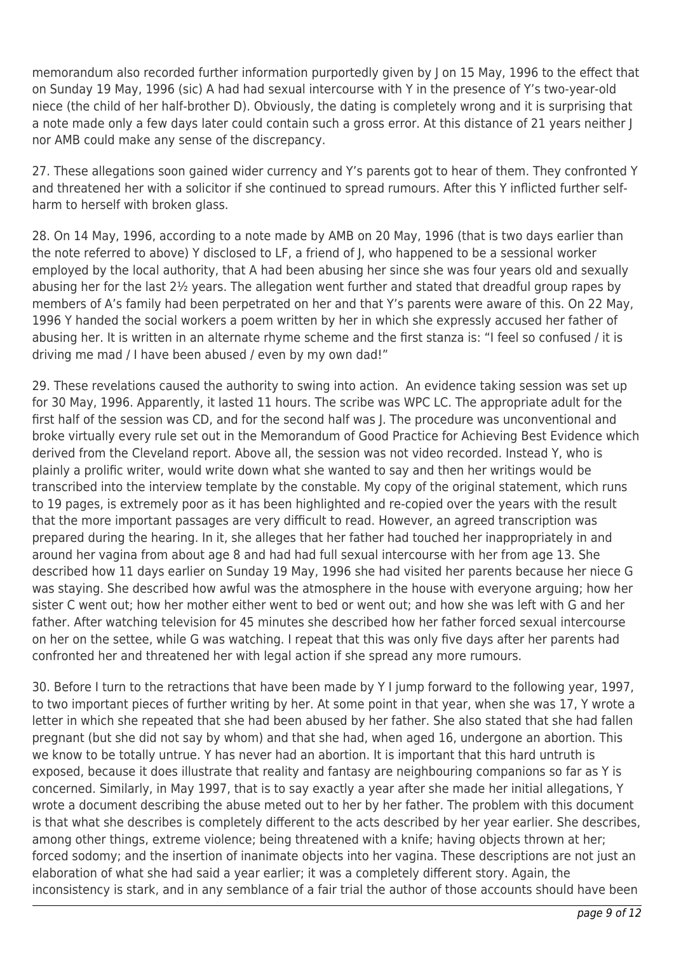memorandum also recorded further information purportedly given by J on 15 May, 1996 to the effect that on Sunday 19 May, 1996 (sic) A had had sexual intercourse with Y in the presence of Y's two-year-old niece (the child of her half-brother D). Obviously, the dating is completely wrong and it is surprising that a note made only a few days later could contain such a gross error. At this distance of 21 years neither  $|$ nor AMB could make any sense of the discrepancy.

27. These allegations soon gained wider currency and Y's parents got to hear of them. They confronted Y and threatened her with a solicitor if she continued to spread rumours. After this Y inflicted further selfharm to herself with broken glass.

28. On 14 May, 1996, according to a note made by AMB on 20 May, 1996 (that is two days earlier than the note referred to above) Y disclosed to LF, a friend of J, who happened to be a sessional worker employed by the local authority, that A had been abusing her since she was four years old and sexually abusing her for the last 2½ years. The allegation went further and stated that dreadful group rapes by members of A's family had been perpetrated on her and that Y's parents were aware of this. On 22 May, 1996 Y handed the social workers a poem written by her in which she expressly accused her father of abusing her. It is written in an alternate rhyme scheme and the first stanza is: "I feel so confused / it is driving me mad / I have been abused / even by my own dad!"

29. These revelations caused the authority to swing into action. An evidence taking session was set up for 30 May, 1996. Apparently, it lasted 11 hours. The scribe was WPC LC. The appropriate adult for the first half of the session was CD, and for the second half was J. The procedure was unconventional and broke virtually every rule set out in the Memorandum of Good Practice for Achieving Best Evidence which derived from the Cleveland report. Above all, the session was not video recorded. Instead Y, who is plainly a prolific writer, would write down what she wanted to say and then her writings would be transcribed into the interview template by the constable. My copy of the original statement, which runs to 19 pages, is extremely poor as it has been highlighted and re-copied over the years with the result that the more important passages are very difficult to read. However, an agreed transcription was prepared during the hearing. In it, she alleges that her father had touched her inappropriately in and around her vagina from about age 8 and had had full sexual intercourse with her from age 13. She described how 11 days earlier on Sunday 19 May, 1996 she had visited her parents because her niece G was staying. She described how awful was the atmosphere in the house with everyone arguing; how her sister C went out; how her mother either went to bed or went out; and how she was left with G and her father. After watching television for 45 minutes she described how her father forced sexual intercourse on her on the settee, while G was watching. I repeat that this was only five days after her parents had confronted her and threatened her with legal action if she spread any more rumours.

30. Before I turn to the retractions that have been made by Y I jump forward to the following year, 1997, to two important pieces of further writing by her. At some point in that year, when she was 17, Y wrote a letter in which she repeated that she had been abused by her father. She also stated that she had fallen pregnant (but she did not say by whom) and that she had, when aged 16, undergone an abortion. This we know to be totally untrue. Y has never had an abortion. It is important that this hard untruth is exposed, because it does illustrate that reality and fantasy are neighbouring companions so far as Y is concerned. Similarly, in May 1997, that is to say exactly a year after she made her initial allegations, Y wrote a document describing the abuse meted out to her by her father. The problem with this document is that what she describes is completely different to the acts described by her year earlier. She describes, among other things, extreme violence; being threatened with a knife; having objects thrown at her; forced sodomy; and the insertion of inanimate objects into her vagina. These descriptions are not just an elaboration of what she had said a year earlier; it was a completely different story. Again, the inconsistency is stark, and in any semblance of a fair trial the author of those accounts should have been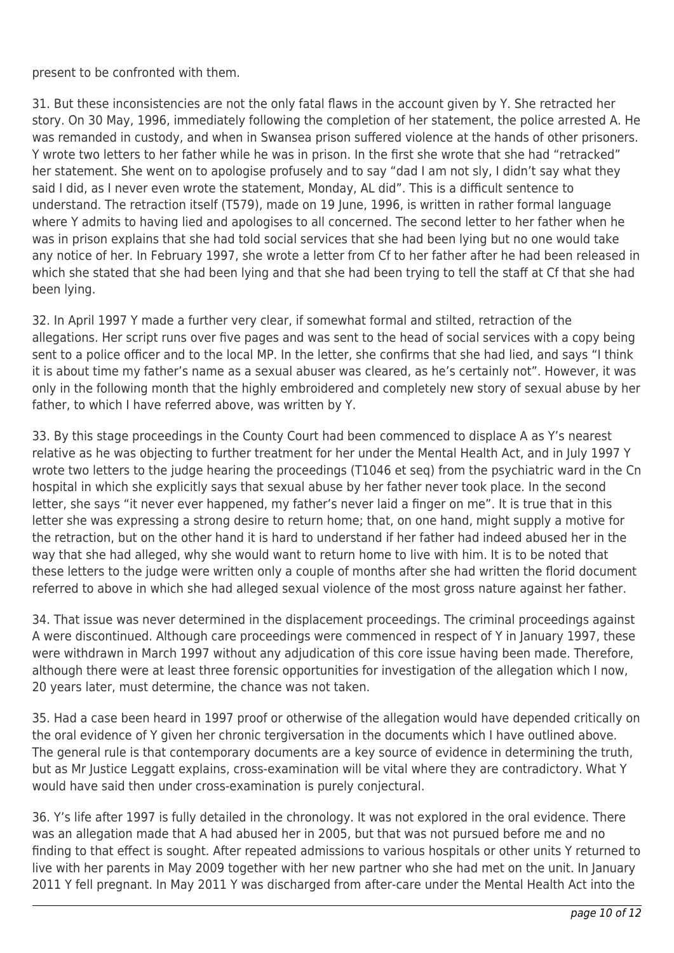present to be confronted with them.

31. But these inconsistencies are not the only fatal flaws in the account given by Y. She retracted her story. On 30 May, 1996, immediately following the completion of her statement, the police arrested A. He was remanded in custody, and when in Swansea prison suffered violence at the hands of other prisoners. Y wrote two letters to her father while he was in prison. In the first she wrote that she had "retracked" her statement. She went on to apologise profusely and to say "dad I am not sly, I didn't say what they said I did, as I never even wrote the statement, Monday, AL did". This is a difficult sentence to understand. The retraction itself (T579), made on 19 June, 1996, is written in rather formal language where Y admits to having lied and apologises to all concerned. The second letter to her father when he was in prison explains that she had told social services that she had been lying but no one would take any notice of her. In February 1997, she wrote a letter from Cf to her father after he had been released in which she stated that she had been lying and that she had been trying to tell the staff at Cf that she had been lying.

32. In April 1997 Y made a further very clear, if somewhat formal and stilted, retraction of the allegations. Her script runs over five pages and was sent to the head of social services with a copy being sent to a police officer and to the local MP. In the letter, she confirms that she had lied, and says "I think it is about time my father's name as a sexual abuser was cleared, as he's certainly not". However, it was only in the following month that the highly embroidered and completely new story of sexual abuse by her father, to which I have referred above, was written by Y.

33. By this stage proceedings in the County Court had been commenced to displace A as Y's nearest relative as he was objecting to further treatment for her under the Mental Health Act, and in July 1997 Y wrote two letters to the judge hearing the proceedings (T1046 et seq) from the psychiatric ward in the Cn hospital in which she explicitly says that sexual abuse by her father never took place. In the second letter, she says "it never ever happened, my father's never laid a finger on me". It is true that in this letter she was expressing a strong desire to return home; that, on one hand, might supply a motive for the retraction, but on the other hand it is hard to understand if her father had indeed abused her in the way that she had alleged, why she would want to return home to live with him. It is to be noted that these letters to the judge were written only a couple of months after she had written the florid document referred to above in which she had alleged sexual violence of the most gross nature against her father.

34. That issue was never determined in the displacement proceedings. The criminal proceedings against A were discontinued. Although care proceedings were commenced in respect of Y in January 1997, these were withdrawn in March 1997 without any adjudication of this core issue having been made. Therefore, although there were at least three forensic opportunities for investigation of the allegation which I now, 20 years later, must determine, the chance was not taken.

35. Had a case been heard in 1997 proof or otherwise of the allegation would have depended critically on the oral evidence of Y given her chronic tergiversation in the documents which I have outlined above. The general rule is that contemporary documents are a key source of evidence in determining the truth, but as Mr Justice Leggatt explains, cross-examination will be vital where they are contradictory. What Y would have said then under cross-examination is purely conjectural.

36. Y's life after 1997 is fully detailed in the chronology. It was not explored in the oral evidence. There was an allegation made that A had abused her in 2005, but that was not pursued before me and no finding to that effect is sought. After repeated admissions to various hospitals or other units Y returned to live with her parents in May 2009 together with her new partner who she had met on the unit. In January 2011 Y fell pregnant. In May 2011 Y was discharged from after-care under the Mental Health Act into the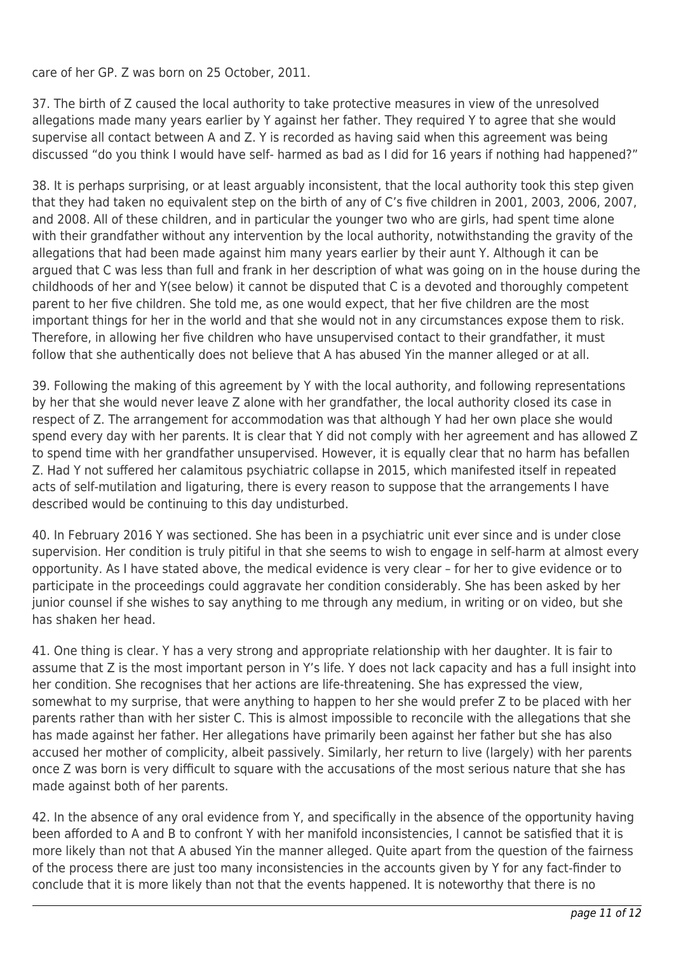care of her GP. Z was born on 25 October, 2011.

37. The birth of Z caused the local authority to take protective measures in view of the unresolved allegations made many years earlier by Y against her father. They required Y to agree that she would supervise all contact between A and Z. Y is recorded as having said when this agreement was being discussed "do you think I would have self- harmed as bad as I did for 16 years if nothing had happened?"

38. It is perhaps surprising, or at least arguably inconsistent, that the local authority took this step given that they had taken no equivalent step on the birth of any of C's five children in 2001, 2003, 2006, 2007, and 2008. All of these children, and in particular the younger two who are girls, had spent time alone with their grandfather without any intervention by the local authority, notwithstanding the gravity of the allegations that had been made against him many years earlier by their aunt Y. Although it can be argued that C was less than full and frank in her description of what was going on in the house during the childhoods of her and Y(see below) it cannot be disputed that C is a devoted and thoroughly competent parent to her five children. She told me, as one would expect, that her five children are the most important things for her in the world and that she would not in any circumstances expose them to risk. Therefore, in allowing her five children who have unsupervised contact to their grandfather, it must follow that she authentically does not believe that A has abused Yin the manner alleged or at all.

39. Following the making of this agreement by Y with the local authority, and following representations by her that she would never leave Z alone with her grandfather, the local authority closed its case in respect of Z. The arrangement for accommodation was that although Y had her own place she would spend every day with her parents. It is clear that Y did not comply with her agreement and has allowed Z to spend time with her grandfather unsupervised. However, it is equally clear that no harm has befallen Z. Had Y not suffered her calamitous psychiatric collapse in 2015, which manifested itself in repeated acts of self-mutilation and ligaturing, there is every reason to suppose that the arrangements I have described would be continuing to this day undisturbed.

40. In February 2016 Y was sectioned. She has been in a psychiatric unit ever since and is under close supervision. Her condition is truly pitiful in that she seems to wish to engage in self-harm at almost every opportunity. As I have stated above, the medical evidence is very clear – for her to give evidence or to participate in the proceedings could aggravate her condition considerably. She has been asked by her junior counsel if she wishes to say anything to me through any medium, in writing or on video, but she has shaken her head.

41. One thing is clear. Y has a very strong and appropriate relationship with her daughter. It is fair to assume that Z is the most important person in Y's life. Y does not lack capacity and has a full insight into her condition. She recognises that her actions are life-threatening. She has expressed the view, somewhat to my surprise, that were anything to happen to her she would prefer Z to be placed with her parents rather than with her sister C. This is almost impossible to reconcile with the allegations that she has made against her father. Her allegations have primarily been against her father but she has also accused her mother of complicity, albeit passively. Similarly, her return to live (largely) with her parents once Z was born is very difficult to square with the accusations of the most serious nature that she has made against both of her parents.

42. In the absence of any oral evidence from Y, and specifically in the absence of the opportunity having been afforded to A and B to confront Y with her manifold inconsistencies, I cannot be satisfied that it is more likely than not that A abused Yin the manner alleged. Quite apart from the question of the fairness of the process there are just too many inconsistencies in the accounts given by Y for any fact-finder to conclude that it is more likely than not that the events happened. It is noteworthy that there is no